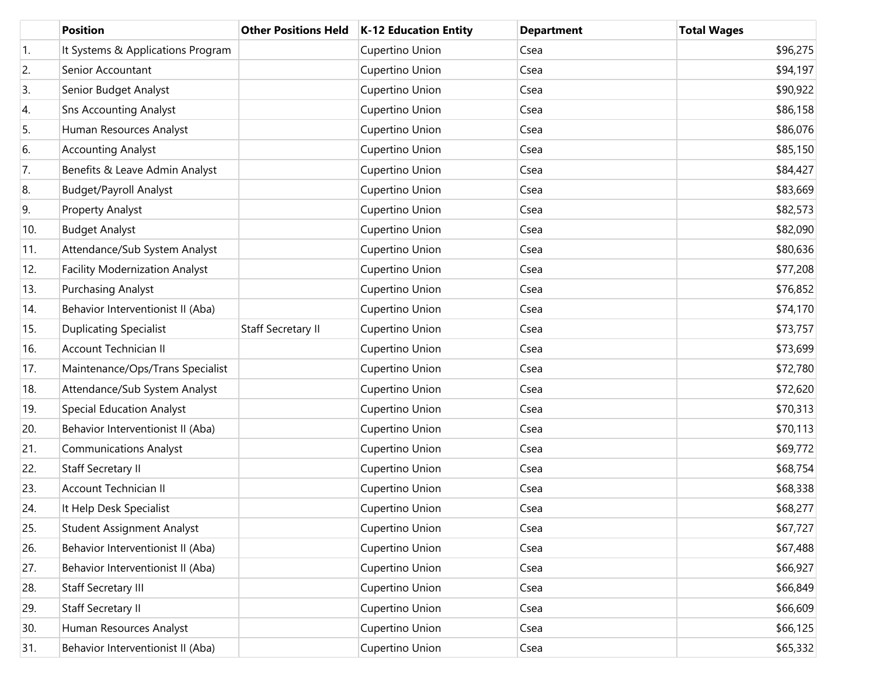|     | <b>Position</b>                       | <b>Other Positions Held</b> | <b>K-12 Education Entity</b> | <b>Department</b> | <b>Total Wages</b> |
|-----|---------------------------------------|-----------------------------|------------------------------|-------------------|--------------------|
| 1.  | It Systems & Applications Program     |                             | Cupertino Union              | Csea              | \$96,275           |
| 2.  | Senior Accountant                     |                             | Cupertino Union              | Csea              | \$94,197           |
| 3.  | Senior Budget Analyst                 |                             | Cupertino Union              | Csea              | \$90,922           |
| 4.  | <b>Sns Accounting Analyst</b>         |                             | Cupertino Union              | Csea              | \$86,158           |
| 5.  | Human Resources Analyst               |                             | Cupertino Union              | Csea              | \$86,076           |
| 6.  | <b>Accounting Analyst</b>             |                             | Cupertino Union              | Csea              | \$85,150           |
| 7.  | Benefits & Leave Admin Analyst        |                             | Cupertino Union              | Csea              | \$84,427           |
| 8.  | <b>Budget/Payroll Analyst</b>         |                             | Cupertino Union              | Csea              | \$83,669           |
| 9.  | Property Analyst                      |                             | Cupertino Union              | Csea              | \$82,573           |
| 10. | <b>Budget Analyst</b>                 |                             | Cupertino Union              | Csea              | \$82,090           |
| 11. | Attendance/Sub System Analyst         |                             | Cupertino Union              | Csea              | \$80,636           |
| 12. | <b>Facility Modernization Analyst</b> |                             | Cupertino Union              | Csea              | \$77,208           |
| 13. | Purchasing Analyst                    |                             | Cupertino Union              | Csea              | \$76,852           |
| 14. | Behavior Interventionist II (Aba)     |                             | Cupertino Union              | Csea              | \$74,170           |
| 15. | <b>Duplicating Specialist</b>         | <b>Staff Secretary II</b>   | Cupertino Union              | Csea              | \$73,757           |
| 16. | <b>Account Technician II</b>          |                             | Cupertino Union              | Csea              | \$73,699           |
| 17. | Maintenance/Ops/Trans Specialist      |                             | Cupertino Union              | Csea              | \$72,780           |
| 18. | Attendance/Sub System Analyst         |                             | Cupertino Union              | Csea              | \$72,620           |
| 19. | <b>Special Education Analyst</b>      |                             | Cupertino Union              | Csea              | \$70,313           |
| 20. | Behavior Interventionist II (Aba)     |                             | Cupertino Union              | Csea              | \$70,113           |
| 21. | <b>Communications Analyst</b>         |                             | Cupertino Union              | Csea              | \$69,772           |
| 22. | Staff Secretary II                    |                             | Cupertino Union              | Csea              | \$68,754           |
| 23. | <b>Account Technician II</b>          |                             | Cupertino Union              | Csea              | \$68,338           |
| 24. | It Help Desk Specialist               |                             | Cupertino Union              | Csea              | \$68,277           |
| 25. | <b>Student Assignment Analyst</b>     |                             | Cupertino Union              | Csea              | \$67,727           |
| 26. | Behavior Interventionist II (Aba)     |                             | Cupertino Union              | Csea              | \$67,488           |
| 27. | Behavior Interventionist II (Aba)     |                             | Cupertino Union              | Csea              | \$66,927           |
| 28. | Staff Secretary III                   |                             | Cupertino Union              | Csea              | \$66,849           |
| 29. | <b>Staff Secretary II</b>             |                             | Cupertino Union              | Csea              | \$66,609           |
| 30. | Human Resources Analyst               |                             | Cupertino Union              | Csea              | \$66,125           |
| 31. | Behavior Interventionist II (Aba)     |                             | Cupertino Union              | Csea              | \$65,332           |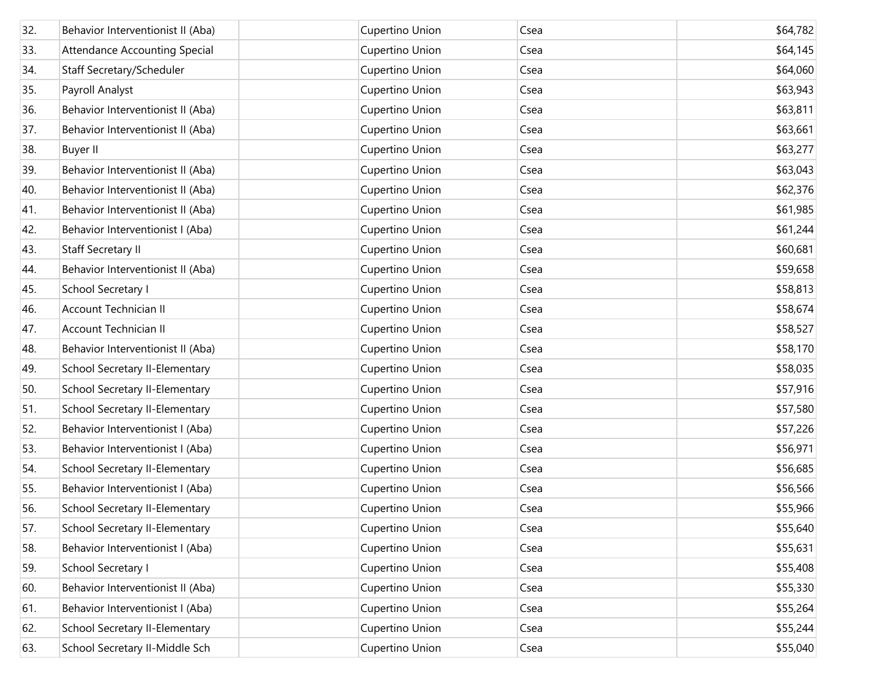| 32. | Behavior Interventionist II (Aba)    | Cupertino Union | Csea | \$64,782 |
|-----|--------------------------------------|-----------------|------|----------|
| 33. | <b>Attendance Accounting Special</b> | Cupertino Union | Csea | \$64,145 |
| 34. | Staff Secretary/Scheduler            | Cupertino Union | Csea | \$64,060 |
| 35. | Payroll Analyst                      | Cupertino Union | Csea | \$63,943 |
| 36. | Behavior Interventionist II (Aba)    | Cupertino Union | Csea | \$63,811 |
| 37. | Behavior Interventionist II (Aba)    | Cupertino Union | Csea | \$63,661 |
| 38. | <b>Buyer II</b>                      | Cupertino Union | Csea | \$63,277 |
| 39. | Behavior Interventionist II (Aba)    | Cupertino Union | Csea | \$63,043 |
| 40. | Behavior Interventionist II (Aba)    | Cupertino Union | Csea | \$62,376 |
| 41. | Behavior Interventionist II (Aba)    | Cupertino Union | Csea | \$61,985 |
| 42. | Behavior Interventionist I (Aba)     | Cupertino Union | Csea | \$61,244 |
| 43. | <b>Staff Secretary II</b>            | Cupertino Union | Csea | \$60,681 |
| 44. | Behavior Interventionist II (Aba)    | Cupertino Union | Csea | \$59,658 |
| 45. | School Secretary I                   | Cupertino Union | Csea | \$58,813 |
| 46. | Account Technician II                | Cupertino Union | Csea | \$58,674 |
| 47. | Account Technician II                | Cupertino Union | Csea | \$58,527 |
| 48. | Behavior Interventionist II (Aba)    | Cupertino Union | Csea | \$58,170 |
| 49. | School Secretary II-Elementary       | Cupertino Union | Csea | \$58,035 |
| 50. | School Secretary II-Elementary       | Cupertino Union | Csea | \$57,916 |
| 51. | School Secretary II-Elementary       | Cupertino Union | Csea | \$57,580 |
| 52. | Behavior Interventionist I (Aba)     | Cupertino Union | Csea | \$57,226 |
| 53. | Behavior Interventionist I (Aba)     | Cupertino Union | Csea | \$56,971 |
| 54. | School Secretary II-Elementary       | Cupertino Union | Csea | \$56,685 |
| 55. | Behavior Interventionist I (Aba)     | Cupertino Union | Csea | \$56,566 |
| 56. | School Secretary II-Elementary       | Cupertino Union | Csea | \$55,966 |
| 57. | School Secretary II-Elementary       | Cupertino Union | Csea | \$55,640 |
| 58. | Behavior Interventionist I (Aba)     | Cupertino Union | Csea | \$55,631 |
| 59. | School Secretary I                   | Cupertino Union | Csea | \$55,408 |
| 60. | Behavior Interventionist II (Aba)    | Cupertino Union | Csea | \$55,330 |
| 61. | Behavior Interventionist I (Aba)     | Cupertino Union | Csea | \$55,264 |
| 62. | School Secretary II-Elementary       | Cupertino Union | Csea | \$55,244 |
| 63. | School Secretary II-Middle Sch       | Cupertino Union | Csea | \$55,040 |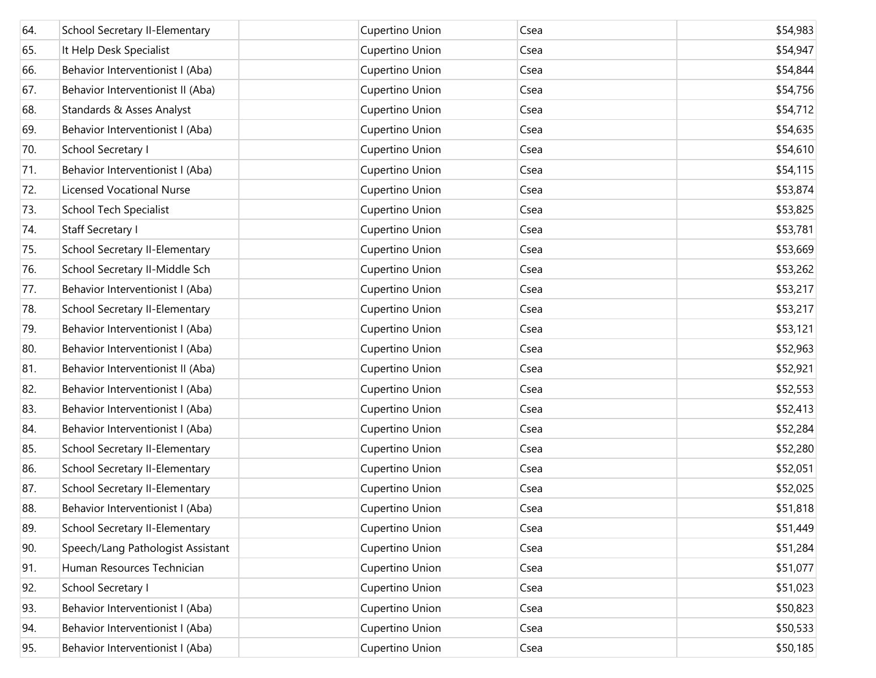| 64. | School Secretary II-Elementary    | Cupertino Union | Csea | \$54,983 |
|-----|-----------------------------------|-----------------|------|----------|
| 65. | It Help Desk Specialist           | Cupertino Union | Csea | \$54,947 |
| 66. | Behavior Interventionist I (Aba)  | Cupertino Union | Csea | \$54,844 |
| 67. | Behavior Interventionist II (Aba) | Cupertino Union | Csea | \$54,756 |
| 68. | Standards & Asses Analyst         | Cupertino Union | Csea | \$54,712 |
| 69. | Behavior Interventionist I (Aba)  | Cupertino Union | Csea | \$54,635 |
| 70. | School Secretary I                | Cupertino Union | Csea | \$54,610 |
| 71. | Behavior Interventionist I (Aba)  | Cupertino Union | Csea | \$54,115 |
| 72. | <b>Licensed Vocational Nurse</b>  | Cupertino Union | Csea | \$53,874 |
| 73. | <b>School Tech Specialist</b>     | Cupertino Union | Csea | \$53,825 |
| 74. | Staff Secretary I                 | Cupertino Union | Csea | \$53,781 |
| 75. | School Secretary II-Elementary    | Cupertino Union | Csea | \$53,669 |
| 76. | School Secretary II-Middle Sch    | Cupertino Union | Csea | \$53,262 |
| 77. | Behavior Interventionist I (Aba)  | Cupertino Union | Csea | \$53,217 |
| 78. | School Secretary II-Elementary    | Cupertino Union | Csea | \$53,217 |
| 79. | Behavior Interventionist I (Aba)  | Cupertino Union | Csea | \$53,121 |
| 80. | Behavior Interventionist I (Aba)  | Cupertino Union | Csea | \$52,963 |
| 81. | Behavior Interventionist II (Aba) | Cupertino Union | Csea | \$52,921 |
| 82. | Behavior Interventionist I (Aba)  | Cupertino Union | Csea | \$52,553 |
| 83. | Behavior Interventionist I (Aba)  | Cupertino Union | Csea | \$52,413 |
| 84. | Behavior Interventionist I (Aba)  | Cupertino Union | Csea | \$52,284 |
| 85. | School Secretary II-Elementary    | Cupertino Union | Csea | \$52,280 |
| 86. | School Secretary II-Elementary    | Cupertino Union | Csea | \$52,051 |
| 87. | School Secretary II-Elementary    | Cupertino Union | Csea | \$52,025 |
| 88. | Behavior Interventionist I (Aba)  | Cupertino Union | Csea | \$51,818 |
| 89. | School Secretary II-Elementary    | Cupertino Union | Csea | \$51,449 |
| 90. | Speech/Lang Pathologist Assistant | Cupertino Union | Csea | \$51,284 |
| 91. | Human Resources Technician        | Cupertino Union | Csea | \$51,077 |
| 92. | School Secretary I                | Cupertino Union | Csea | \$51,023 |
| 93. | Behavior Interventionist I (Aba)  | Cupertino Union | Csea | \$50,823 |
| 94. | Behavior Interventionist I (Aba)  | Cupertino Union | Csea | \$50,533 |
| 95. | Behavior Interventionist I (Aba)  | Cupertino Union | Csea | \$50,185 |